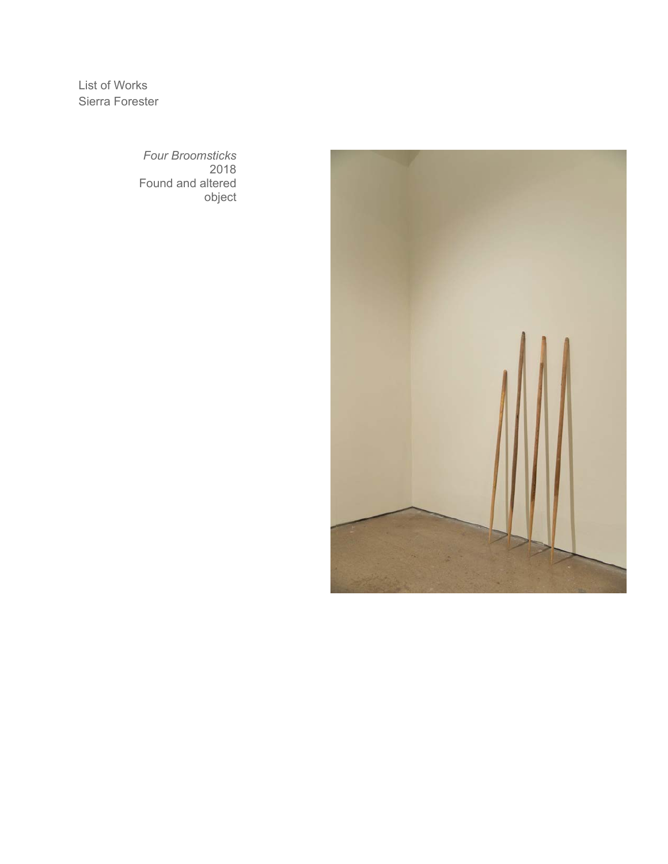List of Works Sierra Forester

> *Four Broomsticks* 2018 Found and altered object

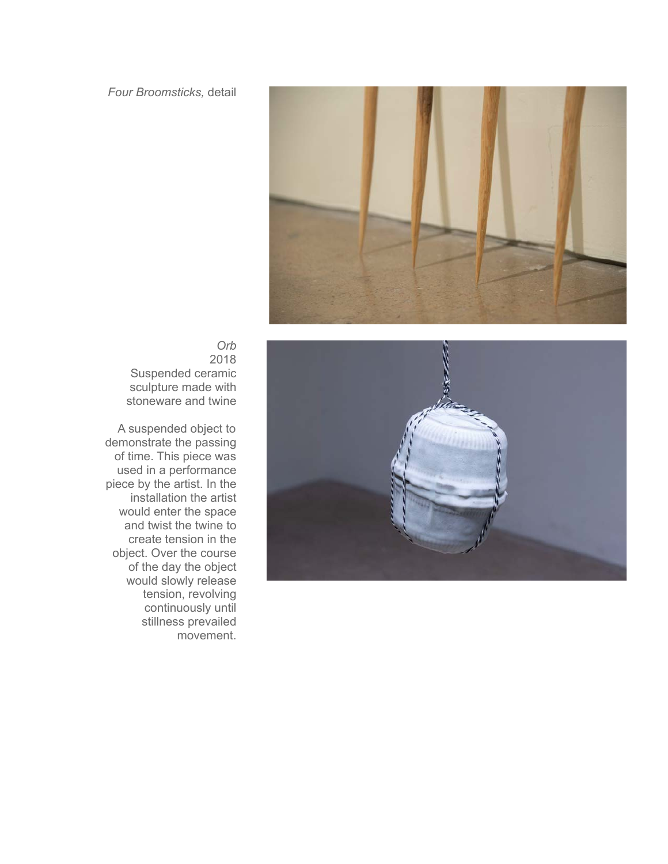## *Four Broomsticks,* detail





*Orb* 2018 Suspended ceramic sculpture made with stoneware and twine

A suspended object to demonstrate the passing of time. This piece was used in a performance piece by the artist. In the installation the artist would enter the space and twist the twine to create tension in the object. Over the course of the day the object would slowly release tension, revolving continuously until stillness prevailed movement.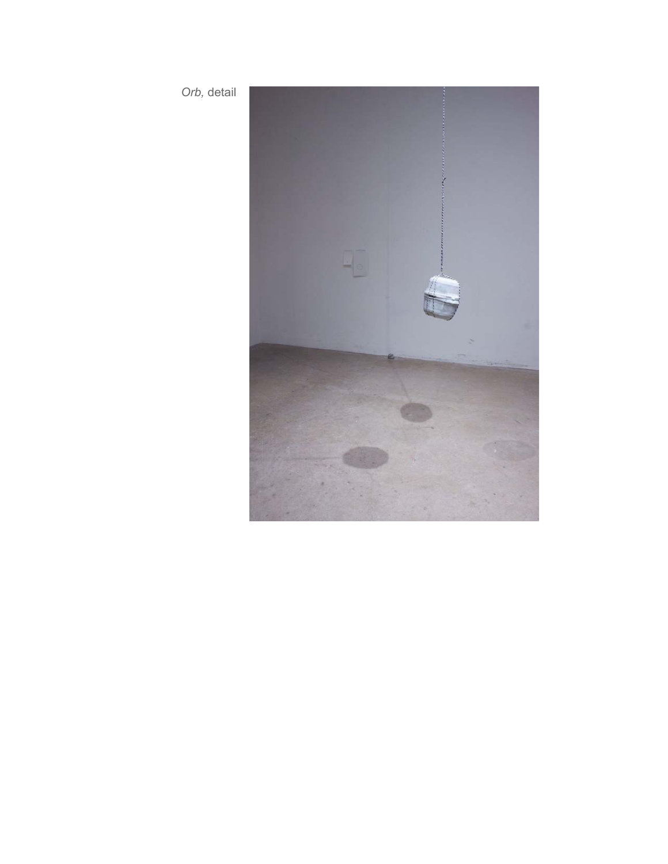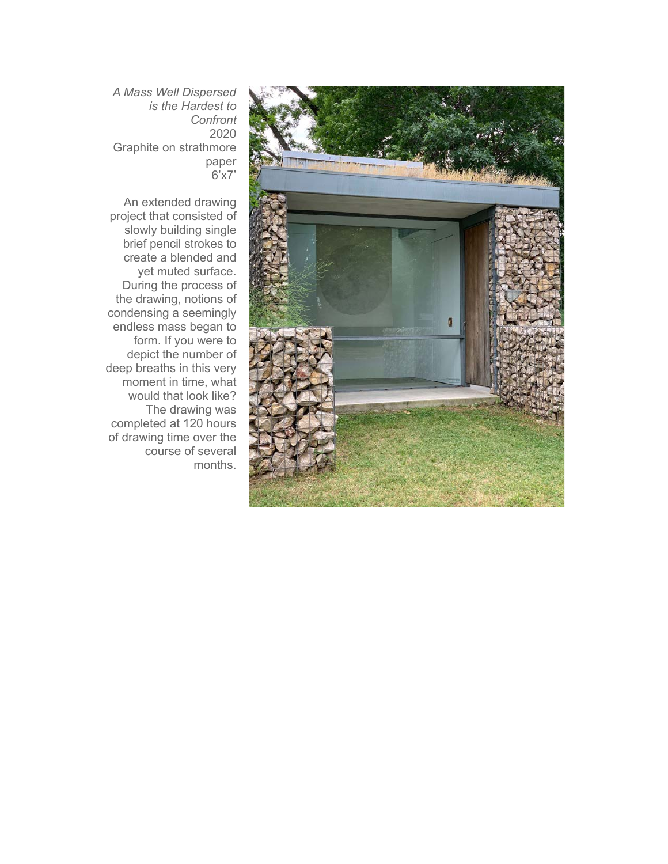

*A Mass Well Dispersed is the Hardest to Confront* 2020 Graphite on strathmore paper 6'x7'

An extended drawing project that consisted of slowly building single brief pencil strokes to create a blended and yet muted surface. During the process of the drawing, notions of condensing a seemingly endless mass began to form. If you were to depict the number of deep breaths in this very moment in time, what would that look like? The drawing was completed at 120 hours of drawing time over the course of several months.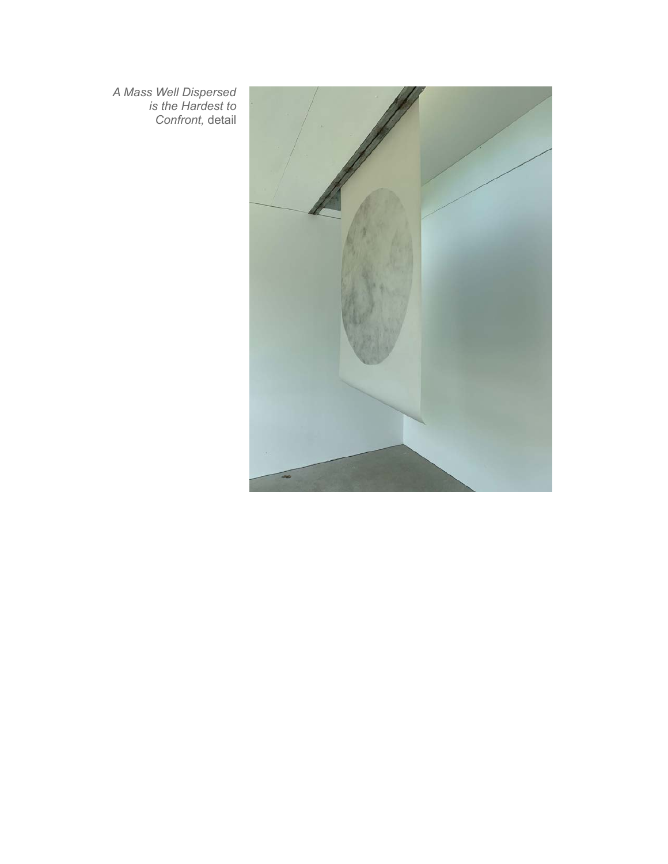*A Mass Well Dispersed is the Hardest to Confront,* detail

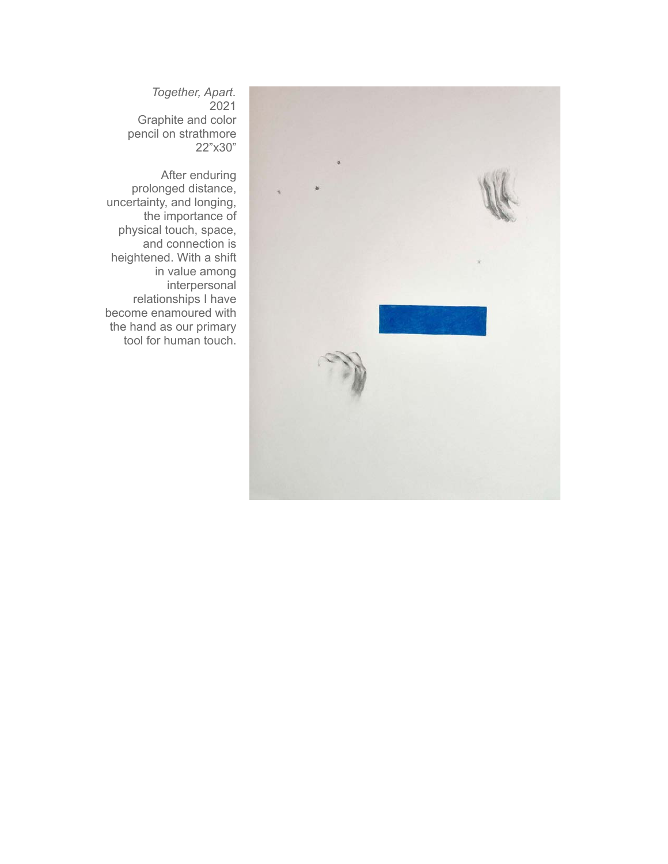

*Together, Apart.* 2021 Graphite and color pencil on strathmore 22"x30"

After enduring prolonged distance, uncertainty, and longing, the importance of physical touch, space, and connection is heightened. With a shift in value among interpersonal relationships I have become enamoured with the hand as our primary tool for human touch.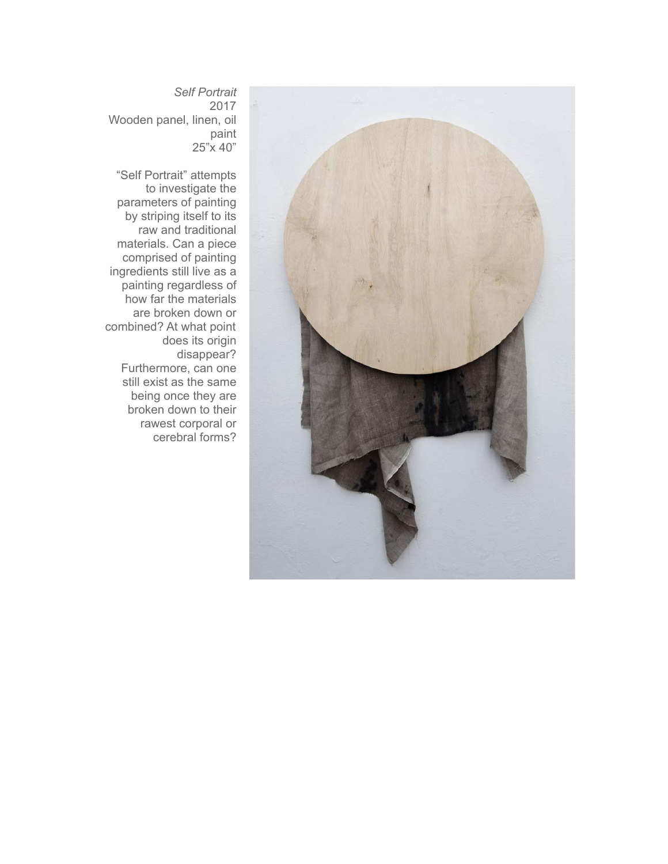

*Self Portrait* 2017 Wooden panel, linen, oil paint 25"x 40"

"Self Portrait" attempts to investigate the parameters of painting by striping itself to its raw and traditional materials. Can a piece comprised of painting ingredients still live as a painting regardless of how far the materials are broken down or combined? At what point does its origin disappear? Furthermore, can one still exist as the same being once they are broken down to their rawest corporal or cerebral forms?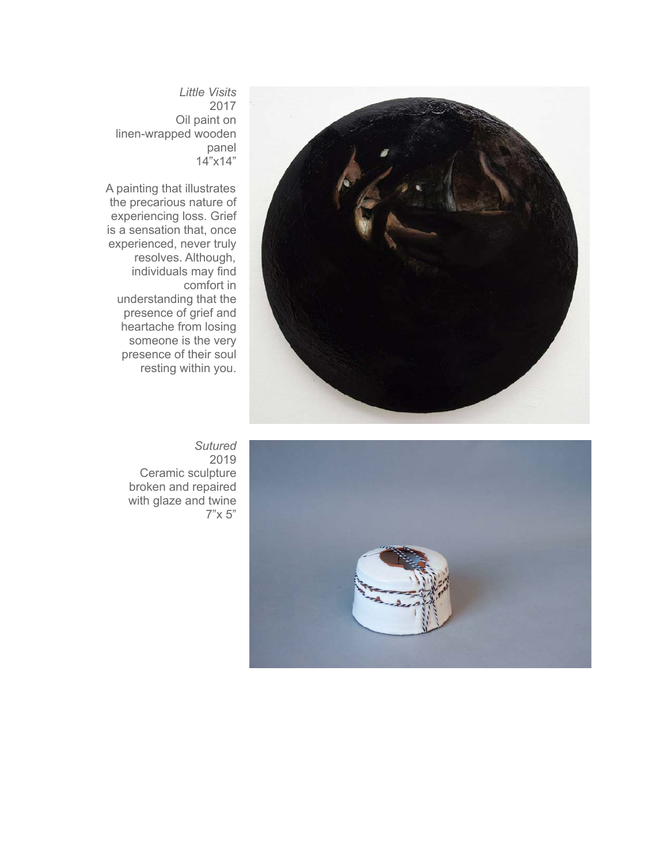

*Little Visits* 2017 Oil paint on linen-wrapped wooden panel 14"x14"

A painting that illustrates the precarious nature of experiencing loss. Grief is a sensation that, once experienced, never truly resolves. Although, individuals may find comfort in understanding that the presence of grief and heartache from losing someone is the very presence of their soul resting within you.



*Sutured* 2019 Ceramic sculpture broken and repaired with glaze and twine 7"x 5"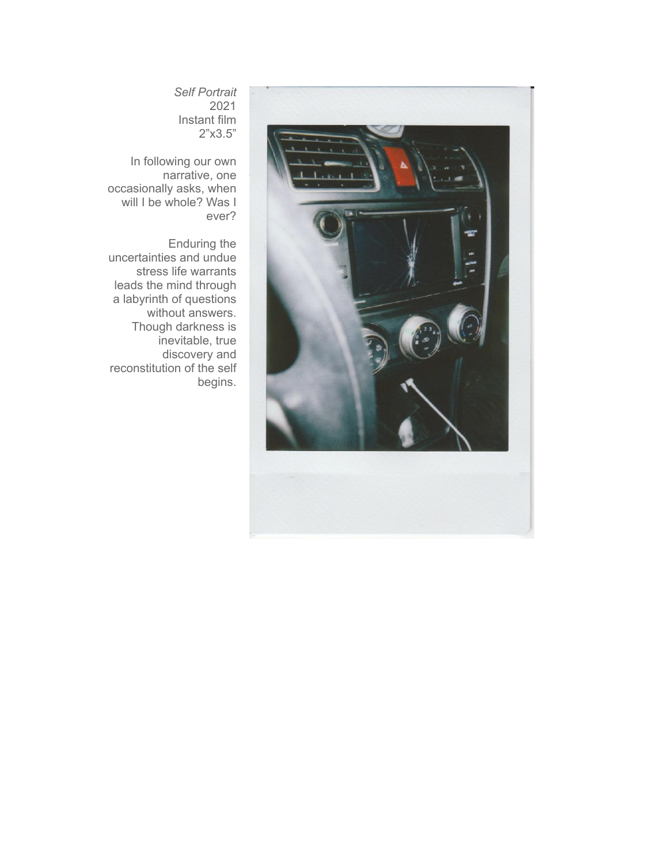

*Self Portrait* 2021 Instant film 2"x3.5"

In following our own narrative, one occasionally asks, when will I be whole? Was I ever?

Enduring the uncertainties and undue stress life warrants leads the mind through a labyrinth of questions without answers. Though darkness is inevitable, true discovery and reconstitution of the self begins.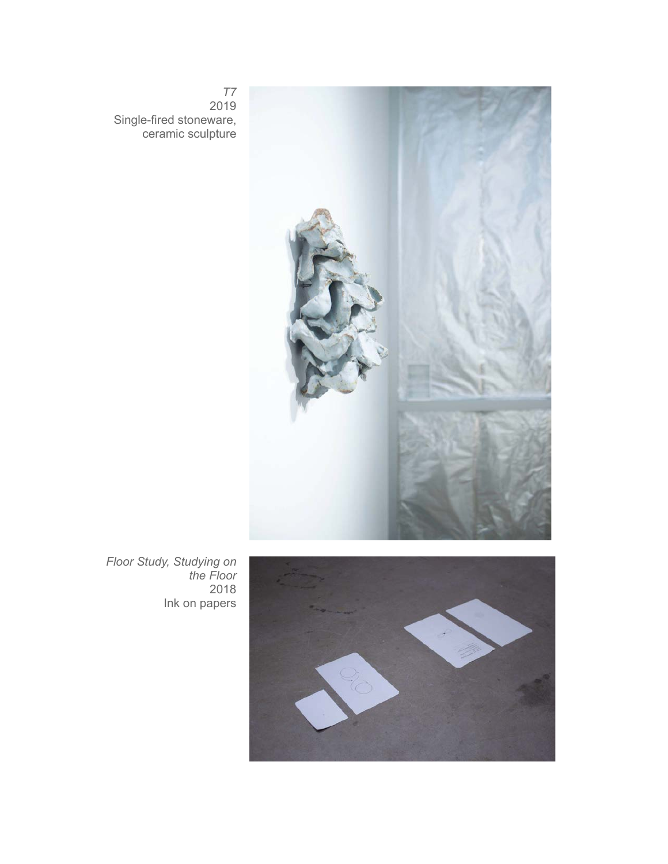

*T7* 2019 Single-fired stoneware, ceramic sculpture

*Floor Study, Studying on the Floor* 2018 Ink on papers

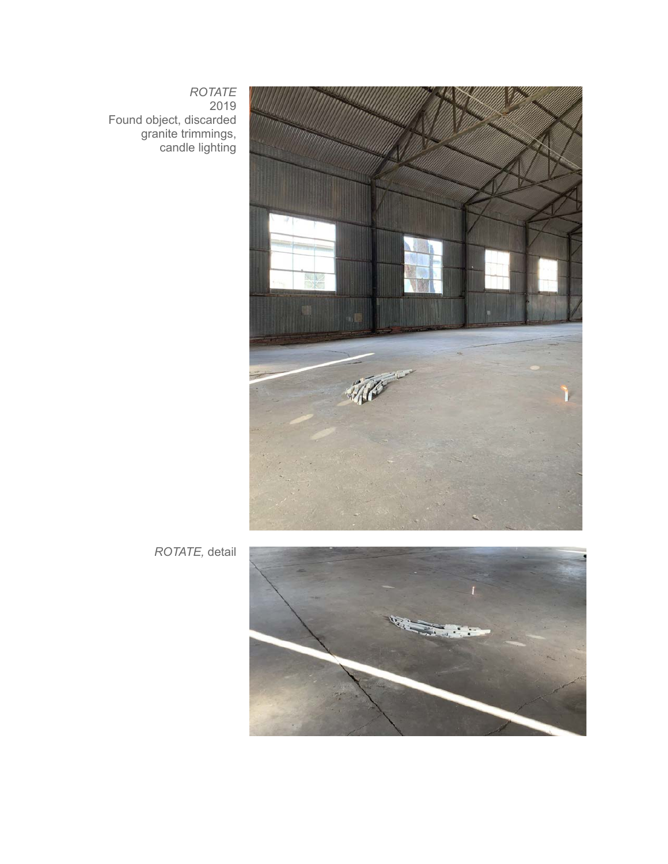

*ROTATE* 2019 Found object, discarded granite trimmings, candle lighting

*ROTATE,* detail

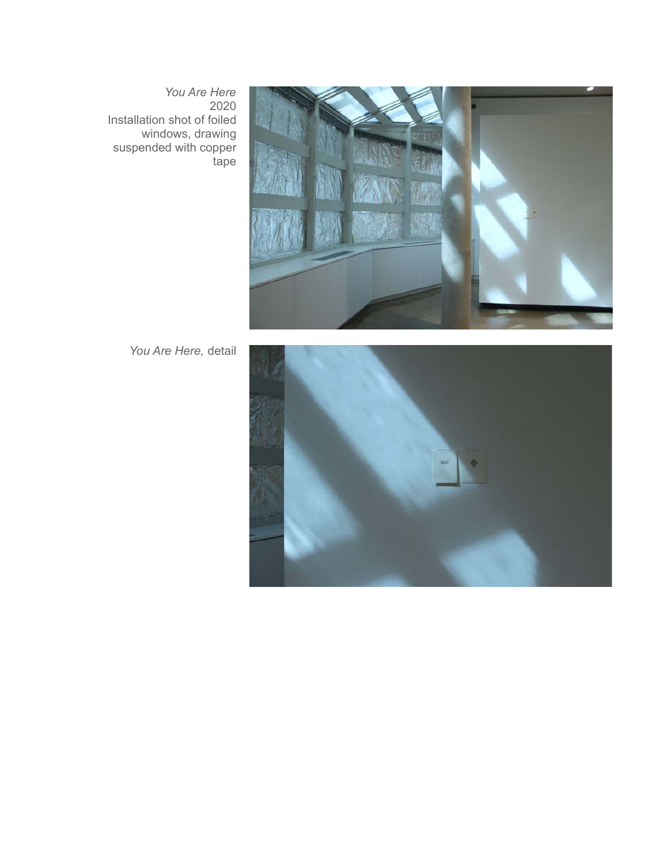*You Are Here* 2020 Installation shot of foiled windows, drawing suspended with copper tape



*You Are Here,* detail

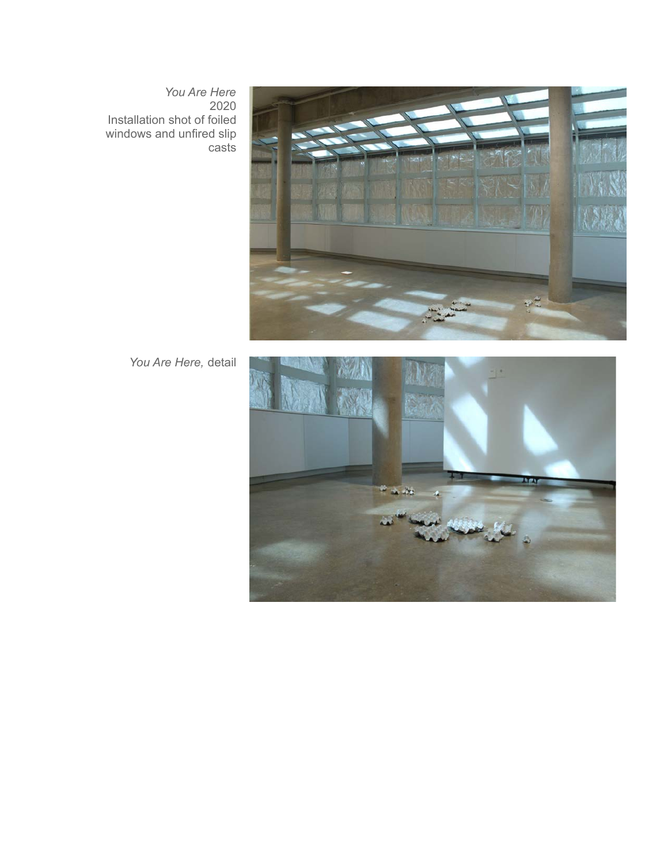*You Are Here* 2020 Installation shot of foiled windows and unfired slip casts



*You Are Here,* detail

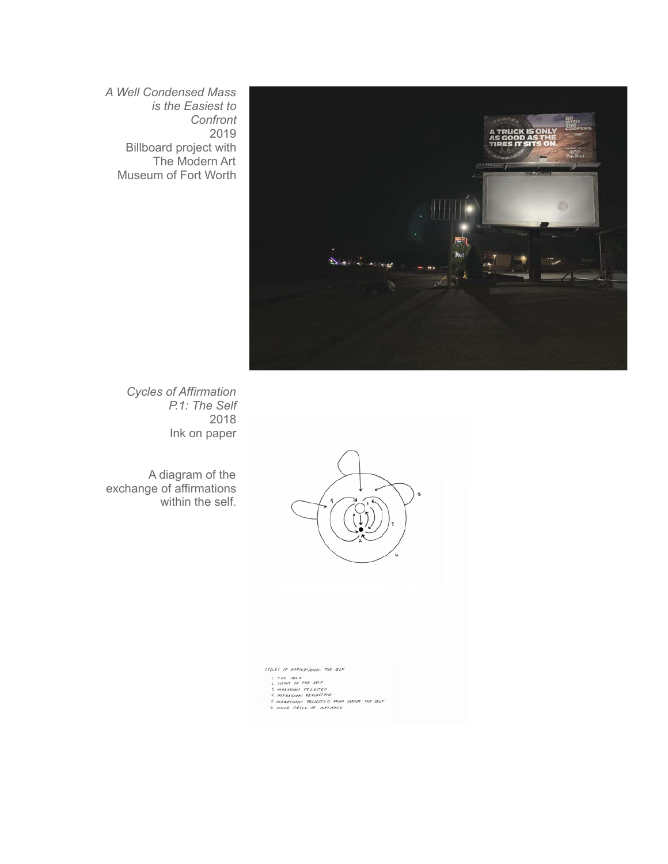*A Well Condensed Mass is the Easiest to Confront* 2019 Billboard project with The Modern Art Museum of Fort Worth



*Cycles of Affirmation P.1: The Self* 2018 Ink on paper

A diagram of the exchange of affirmations within the self.



CYCLES OF AFFIRMATION: THE SELF **UNITY OF ALL ACTIONS THE REAL ACTION CONTRACT AND ACTIONS AND ACTIONS AND ACTIONS AND ACTIONS AND SELF BURGLERS ARE SELF BURGLERS ARE SELF AND SELF ACTIONS ARE SELF AND SELF ACTIONS ARE SELF ACTIONS ARE SELF ACTIONS ARE S**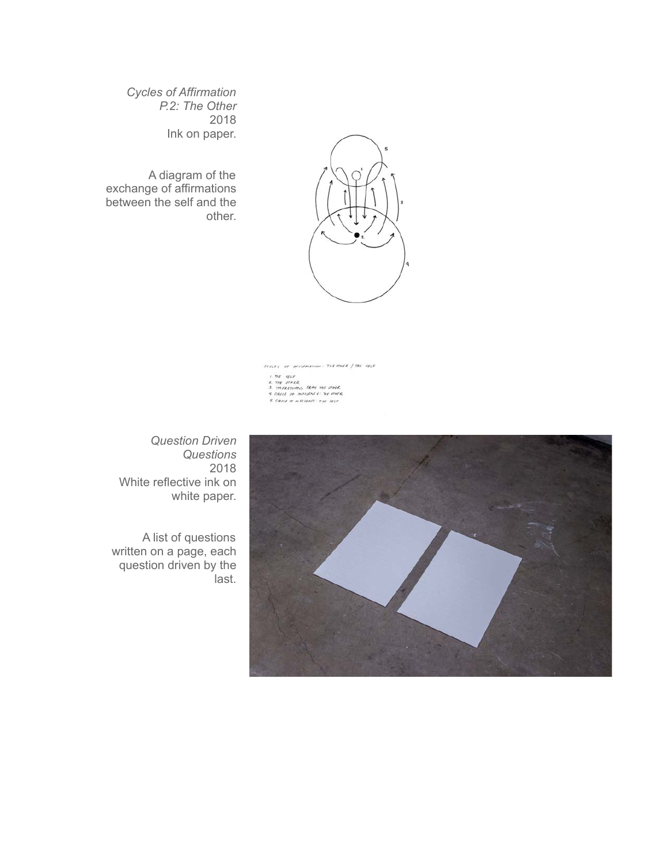*Cycles of Affirmation P.2: The Other* 2018 Ink on paper.

A diagram of the exchange of affirmations between the self and the other.



CYCLES OF MESSPHATING: THE STHER | THE SELF  $\begin{array}{ll} \textit{I. } \mathcal{D}\mathcal{U} & \textit{SUE} \\ \textit{I. } \mathcal{D}\mathcal{U} & \textit{SUE} \\ \textit{2. } \mathcal{D}\mathcal{H} & \textit{SUEZ} \\ \textit{3. } \mathcal{D}\mathcal{H}\mathcal{E}\mathcal{B}\mathcal{H}\mathcal{H}\mathcal{H} \\ \textit{4. } \mathcal{C}\mathcal{H}\mathcal{U} \mathcal{U} & \textit{in} \mathcal{D}\mathcal{H}\mathcal{H} \\ \textit{5. } \mathcal{C}\mathcal{R}\mathcal{U}\mathcal{U} & \textit{in$ 

*Question Driven Questions* 2018 White reflective ink on white paper.

A list of questions written on a page, each question driven by the last.

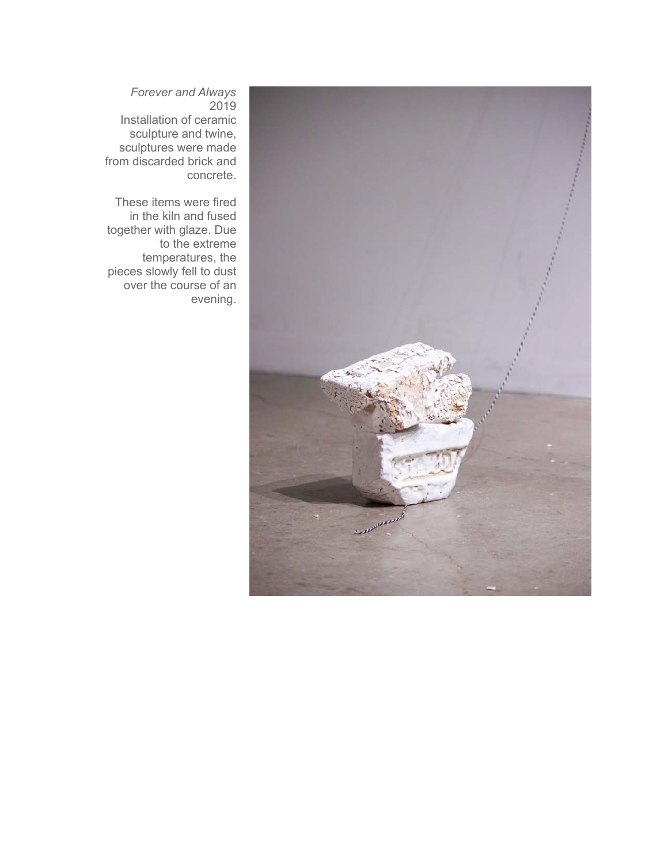

*Forever and Always* 2019 Installation of ceramic sculpture and twine, sculptures were made from discarded brick and concrete.

These items were fired in the kiln and fused together with glaze. Due to the extreme temperatures, the pieces slowly fell to dust over the course of an evening.